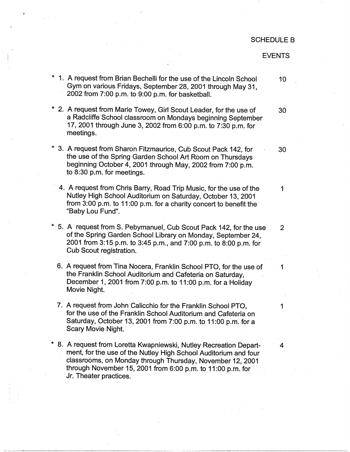## SCHEDULE B

## EVENTS

- 1. A request from Brian Bechelli for the use of the Lincoln School 10 Gym on various Fridays, September 28, 2001 through May 31, 2002 from 7:00 p.m. to 9:00 p.m. for basketball.
- \* 2. A request from Marie Towey, Girl Scout Leader, for the use of 30 a Radcliffe School classroom on Mondays beginning September 17, 2001 through June 3, 2002 from 6:00 p.m. to 7:30 p.m. for meetings.
- \* 3. A request from Sharon Fitzmaurice, Cub Scout Pack 142, for 30 the use of the Spring Garden School Art Room on Thursdays beginning October 4, 2001 through May, 2002 from 7:00 p.m. to 8:30 p.m. for meetings.
	- 4. A request from Chris Barry, Road Trip Music, for the use of the 1 Nutley High School Auditorium on Saturday, October 13, 2001 from 3:00 p.m. to 11 :00 p.m. for a charity concert to benefit the "Baby Lou Fund".
- \* 5. A request from S. Pebymanuel, Cub Scout Pack 142, for the use . 2 of the Spring Garden School Library on Monday, September 24, 2001 from 3:15 p.m. to 3:45 p.m., and 7:00 p.m. to 8:00 p.m. for Cub Scout registration.
	- 6. A request from Tina Nocera, Franklin School PTO, for the use of 1 the Franklin School Auditorium and Cafeteria on Saturday, December 1, 2001 from  $7.00$  p.m. to 11:00 p.m. for a Holiday Movie Night.
	- 7. A request from John Calicchio for the Franklin School PTO. for the use of the Franklin School Auditorium and Cafeteria on Saturday, October 13, 2001 from 7:00 p.m. to 11:00 p.m. for a Scary Movie Night.
- \* 8. A request from Loretta Kwapniewski, Nutley Recreation Depart- 4 ment, for the use of the Nutley High School Auditorium and four classrooms, on Monday through Thursday, November 12, 2001 through November 15, 2001 from 6:00 p.m. to 11 :00 p.m. for Jr. Theater practices.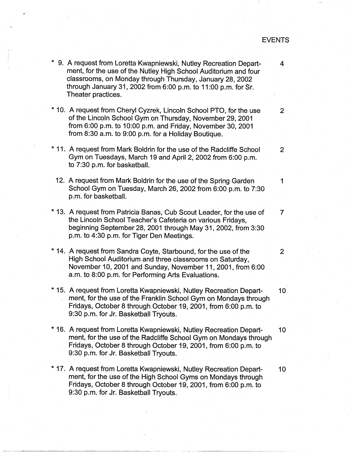## EVENTS

\* 9. A request from Loretta Kwapniewski, Nutley Recreation Depart- 4 ment, for the use of the Nutley High School Auditorium and four classrooms, on Monday through Thursday, January 28, 2002 through January 31; 2002 from 6:00 p.m. to 11 :00 p.m. for Sr. Theater practices. \* 10. A request from Cheryl Cyzrek, Lincoln School PTO, for the use 2 of the Lincoln School Gym on Thursday, November 29, 2001 from 6:00 p.m. to 10:00 p.m. and Friday, November 30, 2001 from 8:30 a.m. to 9:00 p.m. for a Holiday Boutique. \* 11. A request from Mark Boldrin for the use of the Radcliffe School 2 Gym on Tuesdays, March 19 and April 2, 2002 from 6:00 p.m. to 7:30 p.m. for basketball. 12. A request from Mark Boldrin for the use of the Spring Garden 1 School Gym on Tuesday, March 26, 2002 from 6:00 p.m. to 7:30 p.m. for basketball. \* 13. A request from Patricia Banas, Cub Scout Leader, for the use of 7 the Lincoln School Teacher's Cafeteria on various Fridays, beginning September 28, 2001 through May 31, 2002, from 3:30 p.m. to 4:30 p.m. for Tiger Den Meetings. \* 14. A request from Sandra Coyte, Starbound, for the use of the 2 High School Auditorium and three classrooms on Saturday, November 10, 2001 and Sunday, November 11, 2001, from 6:00 a.m. to 8:00 p.m. for Performing Arts Evaluations. \* 15. A request from Loretta Kwapniewski, Nutley Recreation Depart- 10 ment, for the use of the Franklin School Gym on Mondays through Fridays, October 8 through October 19, 2001, from 6:00 p.m. to 9:30 p.m. for Jr. Basketball Tryouts. \* 16. A request from Loretta Kwapniewski, Nutley Recreation Depart- 10 ment, for the use of the Radcliffe School Gym on Mondays through Fridays, October 8 through October 19, 2001, from 6:00 p.m. to 9:30 p.m. for Jr. Basketball Tryouts. \* 17. A request from Loretta Kwapniewski, Nutley Recreation Depart- 10 ment, for the use of the High School Gyms on Mondays through Fridays, October 8 through October 19, 2001, from 6:00 p.m. to 9:30 p.m. for Jr. Basketball Tryouts.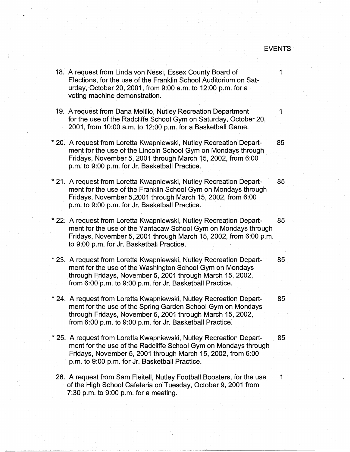## EVENTS

18. A request from Linda von Nessi, Essex County Board of 1 Elections, for the use of the Franklin School Auditorium on Saturday, October 20, 2001, from 9:00 a.m. to 12:00 p.m. for a voting machine demonstration. 19. A request from Dana Melillo, Nutley Recreation Department 1 for the use of the Radcliffe School Gym on Saturday, October 20, 2001, from 10:00 a.m. to 12:00 p.m. for a Basketball Game. \* 20. A request from Loretta Kwapniewski, Nutley Recreation Depart- 85 ment for the use of the Lincoln School Gym on Mondays through Fridays, November 5, 2001 through March 15, 2002, from 6:00 · p.m. to 9:00 p.m. for Jr. Basketball Practice. \* 21. A request from Loretta Kwapniewski, Nutley Recreation Depart- 85 ment for the use of the Franklin School Gym on Mondays through Fridays, November 5,2001 through March 15, 2002, from 6:00 p.m. to 9:00 p.m. for Jr. Basketball Practice. \* 22. A request from Loretta Kwapniewski, Nutley Recreation Depart- 85 ment for the use of the Yantacaw School Gym on Mondays through Fridays, November 5, 2001 through March 15, 2002, from 6:00 p.m. to 9:00 p.m. for Jr. Basketball Practice. \* 23. A request from Loretta Kwapniewski, Nutley Recreation Depart- 85 ment for the use of the Washington School Gym on Mondays through Fridays, November 5, 2001 through March 15, 2002, from 6:00 p.m. to 9:00 p.m. for Jr. Basketball Practice. \* 24. A request from Loretta Kwapniewski, Nutley Recreation Depart- 85 ment for the use of the Spring Garden School Gym on Mondays through Fridays, November 5, 2001 through March 15, 2002, from 6:00 p.m. to 9:00 p.m. for Jr. Basketball Practice: \* 25. A request from Loretta Kwapniewski, Nutley Recreation Depart- . 85 ment for the use of the Radcliffe School Gym on Mondays through Fridays, November 5, 2001 through March 15, 2002, from 6:00 p.m. to 9:00 p.m. for Jr. Basketball Practice. 26. A request from Sam Fleitell, Nutley Football Boosters, for the use 1 of the High School Cafeteria on Tuesday, October 9, 2001 from 7:30 p.m. to 9:00 p.m. for a meeting.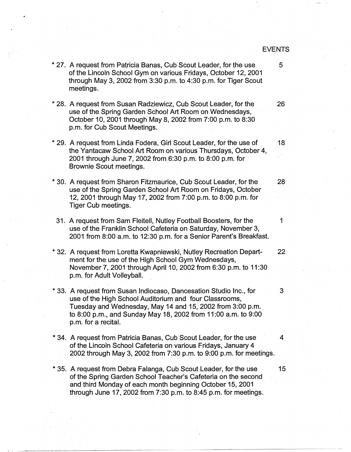\* 27. A request from Patricia Banas, Cub Scout Leader, for the use  $\sim$  5 of the Lincoln School Gym on various Fridays, October 12, 2001 through May 3, 2002 from 3:30 p.m. to 4:30 p.m. for Tiger Scout meetings. \* 28. A request from Susan Radziewicz, Cub Scout Leader, for the 26 use of the Spring Garden School Art Room on Wednesdays, October 10, 2001 through May 8, 2002 from 7:00 p.m. to 8:30 p.m. for.Cub Scout Meetings. \* 29. A request from Linda Fodera, Girl Scout Leader, for the use of 18 the Yantacaw School Art Room on various Thursdays, October 4, 2001 through June 7, 2002 from 6:30 p.m. to 8:00 p.m. for Brownie Scout meetings. \* 30. A request from Sharon Fitzmaurice, Cub Scout Leader, for the 28 use of the Spring Garden School Art Room on Fridays, October 12, 2001 through May 17, 2002 from 7:00 p.m. to 8:00 p.m. for Tiger Cub meetings. 31. A request from Sam Fleitell, Nutley Football Boosters, for the 1 use of the Franklin School Cafeteria on Saturday, November 3, 2001 from 8:00 a.m. to 12:30 p.m. for a Senior Parent's Breakfast. \* 32. A request from Loretta Kwapniewski, Nutley Recreation Depart- 22 ment for the use of the High School Gym Wednesdays, November 7, 2001 through April 10, 2002 from 6:30 p.m. to 11 :30 p.m. for Adult Volleyball. \* 33. A request from Susan lndiocaso, Dancesation Studio Inc., for 3 use of the High School Auditorium and four Classrooms, Tuesday and Wednesday, May 14 and 15, 2002 from 3:00 p.m. to 8:00 p.m., and Sunday May 18, 2002 from 11:00 a.m.to 9:00 p.m. for a recital. \* 34. A request from Patricia Banas, Cub Scout Leader, for the use 4 of the Lincoln School Cafeteria on various Fridays, January 4 2002 through May 3, 2002 from 7:30 p.m. to 9:00 p.m. for meetings. \* 35. A request from Debra Falanga, Cub Scout Leader, for the use 15 of the Spring Garden School Teacher's Cafeteria on the second and third Monday of each month beginning October 15, 2001 through June 17, 2002 from 7:30 p.m. to 8:45 p.m. for meetings.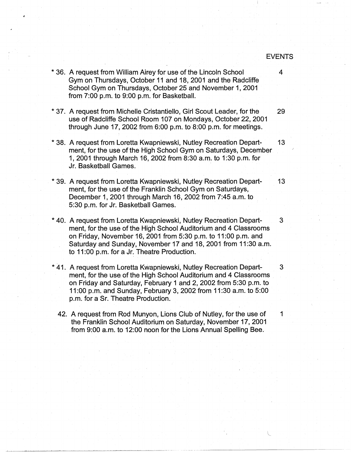\* 36. A request from William Airey for use of the Lincoln School 4 Gym on Thursdays, October 11 and 18, 2001 and the Radcliffe School Gym on Thursdays, October 25 and November 1, 2001 from 7:00 p.m. to 9:00 p.m. for Basketball.

- \* 37. A request from Michelle Cristantiello, Girl Scout Leader, for the 29 use of Radcliffe School Room 107 on Mondays, October 22, 2001 through June 17, 2002 from 6:00 p.m. to 8:00 p.m. for meetings.
- \* 38. A request from Loretta Kwapniewski, Nutley Recreation Depart- 13 ment, for the use of the High School Gym on Saturdays, December 1, 2001 through March 16, 2002 from 8:30 a.rn. to 1:30 p.m. for · Jr. Basketball Games.
- \* 39. A request from Loretta Kwapniewski, Nutley Recreation Depart- 13 ment, for the use of the Franklin School Gym on Saturdays, December 1, 2001 through March 16, 2002 from 7:45 a.m. to 5:30 p.m. for Jr. Basketball Games.
- \* 40. A request from Loretta Kwapniewski, Nutley Recreation Depart- 3 ment, for the use of the High School Auditorium and 4 Classrooms on Friday, November 16, 2001 from 5:30 p.m. to 11 :00 p.m. and Saturday and Sunday, November 17 and 18, 2001 from 11:30 a.m. to 11 :00 p.m. for a Jr. Theatre Production.
- \* 41. A request from Loretta Kwapniewski, Nutley Recreation Depart- 3 ment, for the use of the High School Auditorium and 4 Classrooms on Friday and Saturday, February 1 and 2, 2002 from 5:30 p.m. to 11 :00 p.m. ahd Sunday, February 3, 2002 from 11 :30 a.m. to 5:00 p.m. for a Sr. Theatre Production.
	- 42. A request from Rod Munyon, Lions Club of Nutley, for the use of 1 the Franklin School Auditorium on Saturday, November 17, 2001 from 9:00 a.m. to 12:00 noon for the Lions Annual Spelling Bee.